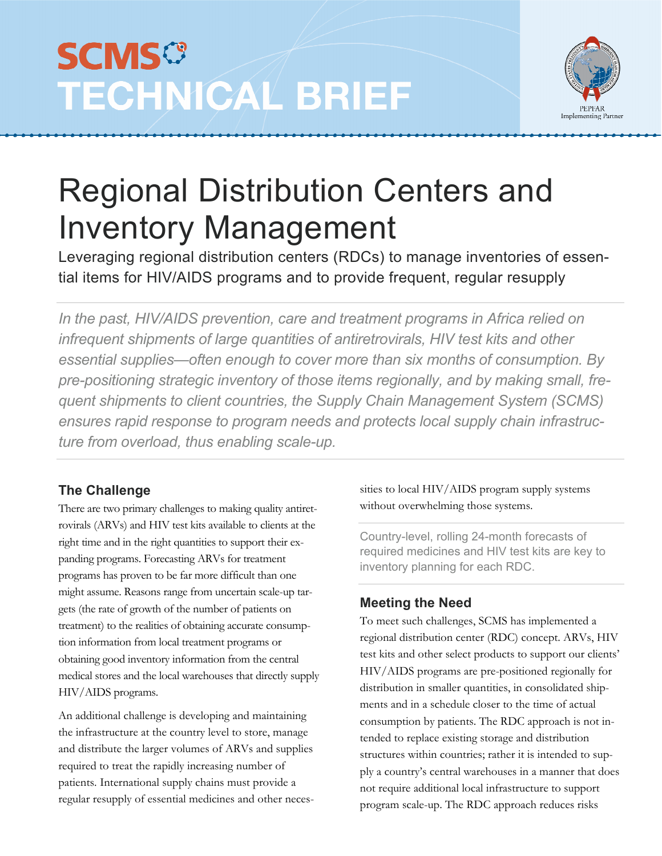# **SCMS®** TECHNICAL BRIEF



# Regional Distribution Centers and Inventory Management

Leveraging regional distribution centers (RDCs) to manage inventories of essential items for HIV/AIDS programs and to provide frequent, regular resupply

*In the past, HIV/AIDS prevention, care and treatment programs in Africa relied on infrequent shipments of large quantities of antiretrovirals, HIV test kits and other essential supplies—often enough to cover more than six months of consumption. By pre-positioning strategic inventory of those items regionally, and by making small, frequent shipments to client countries, the Supply Chain Management System (SCMS) ensures rapid response to program needs and protects local supply chain infrastructure from overload, thus enabling scale-up.* 

## **The Challenge**

There are two primary challenges to making quality antiretrovirals (ARVs) and HIV test kits available to clients at the right time and in the right quantities to support their expanding programs. Forecasting ARVs for treatment programs has proven to be far more difficult than one might assume. Reasons range from uncertain scale-up targets (the rate of growth of the number of patients on treatment) to the realities of obtaining accurate consumption information from local treatment programs or obtaining good inventory information from the central medical stores and the local warehouses that directly supply HIV/AIDS programs.

An additional challenge is developing and maintaining the infrastructure at the country level to store, manage and distribute the larger volumes of ARVs and supplies required to treat the rapidly increasing number of patients. International supply chains must provide a regular resupply of essential medicines and other necessities to local HIV/AIDS program supply systems without overwhelming those systems.

Country-level, rolling 24-month forecasts of required medicines and HIV test kits are key to inventory planning for each RDC.

### **Meeting the Need**

To meet such challenges, SCMS has implemented a regional distribution center (RDC) concept. ARVs, HIV test kits and other select products to support our clients' HIV/AIDS programs are pre-positioned regionally for distribution in smaller quantities, in consolidated shipments and in a schedule closer to the time of actual consumption by patients. The RDC approach is not intended to replace existing storage and distribution structures within countries; rather it is intended to supply a country's central warehouses in a manner that does not require additional local infrastructure to support program scale-up. The RDC approach reduces risks